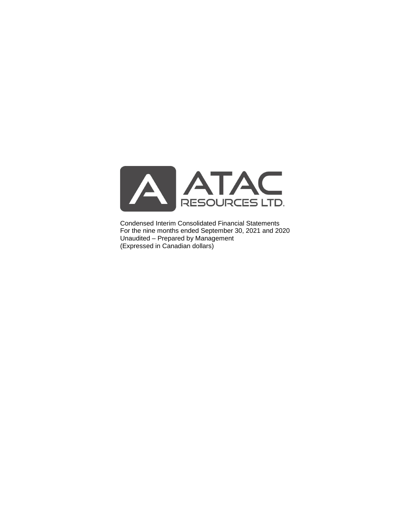

Condensed Interim Consolidated Financial Statements For the nine months ended September 30, 2021 and 2020 Unaudited – Prepared by Management (Expressed in Canadian dollars)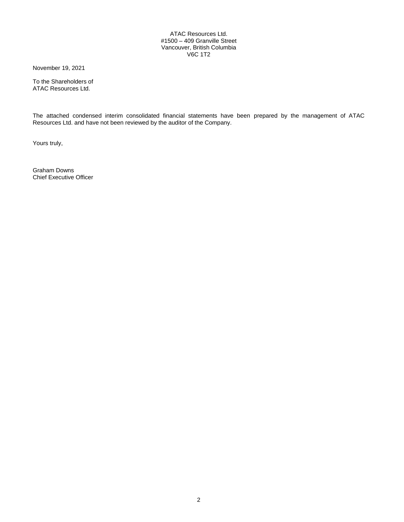## ATAC Resources Ltd. #1500 – 409 Granville Street Vancouver, British Columbia V6C 1T2

November 19, 2021

To the Shareholders of ATAC Resources Ltd.

The attached condensed interim consolidated financial statements have been prepared by the management of ATAC Resources Ltd. and have not been reviewed by the auditor of the Company.

Yours truly,

Graham Downs Chief Executive Officer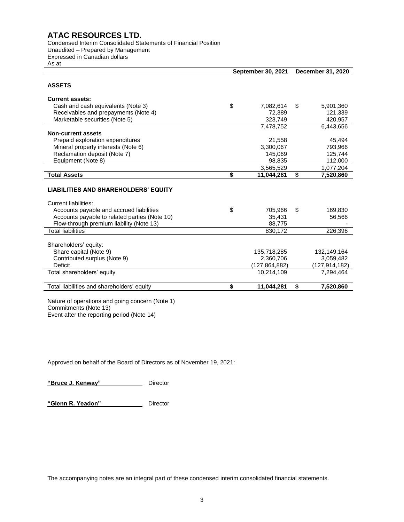Condensed Interim Consolidated Statements of Financial Position Unaudited – Prepared by Management Expressed in Canadian dollars

As at

|                                                      | <b>September 30, 2021</b> | December 31, 2020 |                 |  |  |
|------------------------------------------------------|---------------------------|-------------------|-----------------|--|--|
| <b>ASSETS</b>                                        |                           |                   |                 |  |  |
| <b>Current assets:</b>                               |                           |                   |                 |  |  |
| Cash and cash equivalents (Note 3)                   | \$<br>7,082,614           | \$                | 5,901,360       |  |  |
| Receivables and prepayments (Note 4)                 | 72,389                    |                   | 121,339         |  |  |
| Marketable securities (Note 5)                       | 323,749                   |                   | 420,957         |  |  |
|                                                      | 7,478,752                 |                   | 6,443,656       |  |  |
| <b>Non-current assets</b>                            |                           |                   |                 |  |  |
| Prepaid exploration expenditures                     | 21,558                    |                   | 45,494          |  |  |
| Mineral property interests (Note 6)                  | 3,300,067                 |                   | 793,966         |  |  |
| Reclamation deposit (Note 7)                         | 145,069                   |                   | 125,744         |  |  |
| Equipment (Note 8)                                   | 98,835                    |                   | 112,000         |  |  |
|                                                      | 3,565,529                 |                   | 1,077,204       |  |  |
| <b>Total Assets</b>                                  | \$<br>11,044,281          | \$                | 7,520,860       |  |  |
| <b>LIABILITIES AND SHAREHOLDERS' EQUITY</b>          |                           |                   |                 |  |  |
| Current liabilities:                                 |                           |                   |                 |  |  |
| Accounts payable and accrued liabilities             | \$<br>705,966             | \$.               | 169,830         |  |  |
| Accounts payable to related parties (Note 10)        | 35,431                    |                   | 56,566          |  |  |
| Flow-through premium liability (Note 13)             | 88.775                    |                   |                 |  |  |
| <b>Total liabilities</b>                             | 830,172                   |                   | 226.396         |  |  |
| Shareholders' equity:                                |                           |                   |                 |  |  |
| Share capital (Note 9)                               | 135,718,285               |                   | 132,149,164     |  |  |
| Contributed surplus (Note 9)                         | 2,360,706                 |                   | 3,059,482       |  |  |
| Deficit                                              | (127, 864, 882)           |                   | (127, 914, 182) |  |  |
| Total shareholders' equity                           | 10,214,109                |                   | 7,294,464       |  |  |
| Total liabilities and shareholders' equity           | \$<br>11,044,281          | \$                | 7,520,860       |  |  |
| $N$ latura af anaratiana anal saina aanaara (Nata 4) |                           |                   |                 |  |  |

Nature of operations and going concern (Note 1) Commitments (Note 13) Event after the reporting period (Note 14)

Approved on behalf of the Board of Directors as of November 19, 2021:

**"Bruce J. Kenway"** Director

**"Glenn R. Yeadon"** Director

The accompanying notes are an integral part of these condensed interim consolidated financial statements.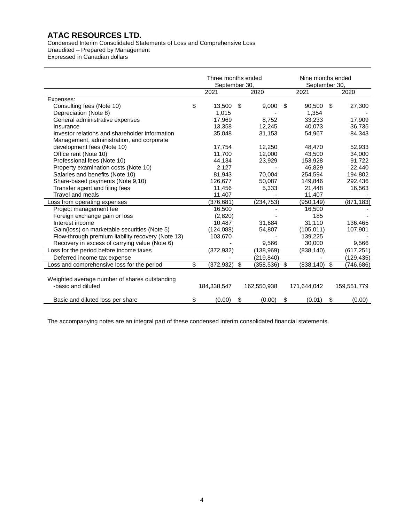Condensed Interim Consolidated Statements of Loss and Comprehensive Loss Unaudited – Prepared by Management

Expressed in Canadian dollars

|                                                                     |                  | Three months ended<br>September 30, |             |     |             |     | Nine months ended<br>September 30, |
|---------------------------------------------------------------------|------------------|-------------------------------------|-------------|-----|-------------|-----|------------------------------------|
|                                                                     | 2021             |                                     | 2020        |     | 2021        |     | 2020                               |
| Expenses:                                                           |                  |                                     |             |     |             |     |                                    |
| Consulting fees (Note 10)                                           | \$<br>13,500     | S                                   | 9,000       | \$. | 90,500      | \$. | 27,300                             |
| Depreciation (Note 8)                                               | 1,015            |                                     |             |     | 1,354       |     |                                    |
| General administrative expenses                                     | 17,969           |                                     | 8,752       |     | 33,233      |     | 17,909                             |
| Insurance                                                           | 13,358           |                                     | 12,245      |     | 40,073      |     | 36,735                             |
| Investor relations and shareholder information                      | 35,048           |                                     | 31,153      |     | 54,967      |     | 84,343                             |
| Management, administration, and corporate                           |                  |                                     |             |     |             |     |                                    |
| development fees (Note 10)                                          | 17,754           |                                     | 12,250      |     | 48,470      |     | 52,933                             |
| Office rent (Note 10)                                               | 11,700           |                                     | 12,000      |     | 43,500      |     | 34,000                             |
| Professional fees (Note 10)                                         | 44,134           |                                     | 23,929      |     | 153,928     |     | 91,722                             |
| Property examination costs (Note 10)                                | 2,127            |                                     |             |     | 46,829      |     | 22,440                             |
| Salaries and benefits (Note 10)                                     | 81,943           |                                     | 70,004      |     | 254,594     |     | 194,802                            |
| Share-based payments (Note 9,10)                                    | 126,677          |                                     | 50,087      |     | 149,846     |     | 292,436                            |
| Transfer agent and filing fees                                      | 11,456           |                                     | 5,333       |     | 21,448      |     | 16,563                             |
| <b>Travel and meals</b>                                             | 11,407           |                                     |             |     | 11,407      |     |                                    |
| Loss from operating expenses                                        | (376, 681)       |                                     | (234, 753)  |     | (950, 149)  |     | (871, 183)                         |
| Project management fee                                              | 16,500           |                                     |             |     | 16,500      |     |                                    |
| Foreign exchange gain or loss                                       | (2,820)          |                                     |             |     | 185         |     |                                    |
| Interest income                                                     | 10,487           |                                     | 31,684      |     | 31.110      |     | 136,465                            |
| Gain(loss) on marketable securities (Note 5)                        | (124,088)        |                                     | 54,807      |     | (105, 011)  |     | 107,901                            |
| Flow-through premium liability recovery (Note 13)                   | 103,670          |                                     |             |     | 139,225     |     |                                    |
| Recovery in excess of carrying value (Note 6)                       |                  |                                     | 9,566       |     | 30,000      |     | 9,566                              |
| Loss for the period before income taxes                             | (372, 932)       |                                     | (138, 969)  |     | (838, 140)  |     | (617, 251)                         |
| Deferred income tax expense                                         |                  |                                     | (219, 840)  |     |             |     | (129,435)                          |
| Loss and comprehensive loss for the period                          | \$<br>(372, 932) | \$                                  | (358, 536)  | \$  | (838, 140)  | \$  | (746, 686)                         |
| Weighted average number of shares outstanding<br>-basic and diluted | 184,338,547      |                                     | 162,550,938 |     | 171,644,042 |     | 159,551,779                        |
| Basic and diluted loss per share                                    | \$<br>(0.00)     | \$                                  | (0.00)      | \$  | (0.01)      | \$  | (0.00)                             |

The accompanying notes are an integral part of these condensed interim consolidated financial statements.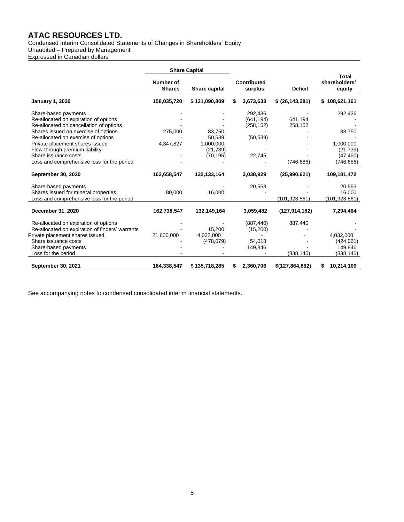Condensed Interim Consolidated Statements of Changes in Shareholders' Equity Unaudited – Prepared by Management

Expressed in Canadian dollars

|                                                 |                            | <b>Share Capital</b> |    |                               |                   |                                         |
|-------------------------------------------------|----------------------------|----------------------|----|-------------------------------|-------------------|-----------------------------------------|
|                                                 | Number of<br><b>Shares</b> | Share capital        |    | <b>Contributed</b><br>surplus | <b>Deficit</b>    | <b>Total</b><br>shareholders'<br>equity |
| <b>January 1, 2020</b>                          | 158,035,720                | \$131,090,809        | S. | 3,673,633                     | \$ (26, 143, 281) | \$108,621,161                           |
| Share-based payments                            |                            |                      |    | 292,436                       |                   | 292,436                                 |
| Re-allocated on expiration of options           |                            |                      |    | (641, 194)                    | 641,194           |                                         |
| Re-allocated on cancellation of options         |                            |                      |    | (258, 152)                    | 258,152           |                                         |
| Shares issued on exercise of options            | 275,000                    | 83.750               |    |                               |                   | 83,750                                  |
| Re-allocated on exercise of options             |                            | 50,539               |    | (50, 539)                     |                   |                                         |
| Private placement shares issued                 | 4,347,827                  | 1,000,000            |    |                               |                   | 1,000,000                               |
| Flow-through premium liability                  |                            | (21, 739)            |    |                               |                   | (21, 739)                               |
| Share issuance costs                            |                            | (70, 195)            |    | 22,745                        |                   | (47, 450)                               |
| Loss and comprehensive loss for the period      |                            |                      |    |                               | (746, 686)        | (746, 686)                              |
| September 30, 2020                              | 162,658,547                | 132,133,164          |    | 3,038,929                     | (25,990,621)      | 109,181,472                             |
| Share-based payments                            |                            |                      |    | 20,553                        |                   | 20.553                                  |
| Shares issued for mineral properties            | 80,000                     | 16,000               |    |                               |                   | 16,000                                  |
| Loss and comprehensive loss for the period      |                            |                      |    |                               | (101, 923, 561)   | (101, 923, 561)                         |
| December 31, 2020                               | 162,738,547                | 132,149,164          |    | 3,059,482                     | (127, 914, 182)   | 7,294,464                               |
| Re-allocated on expiration of options           |                            |                      |    | (887, 440)                    | 887,440           |                                         |
| Re-allocated on expiration of finders' warrants |                            | 15,200               |    | (15,200)                      |                   |                                         |
| Private placement shares issued                 | 21,600,000                 | 4,032,000            |    |                               |                   | 4,032,000                               |
| Share issuance costs                            |                            | (478,079)            |    | 54,018                        |                   | (424, 061)                              |
| Share-based payments                            |                            |                      |    | 149,846                       |                   | 149,846                                 |
| Loss for the period                             |                            |                      |    |                               | (838, 140)        | (838, 140)                              |
| September 30, 2021                              | 184,338,547                | \$135,718,285        | S. | 2,360,706                     | \$(127,864,882)   | 10,214,109<br>S.                        |

See accompanying notes to condensed consolidated interim financial statements.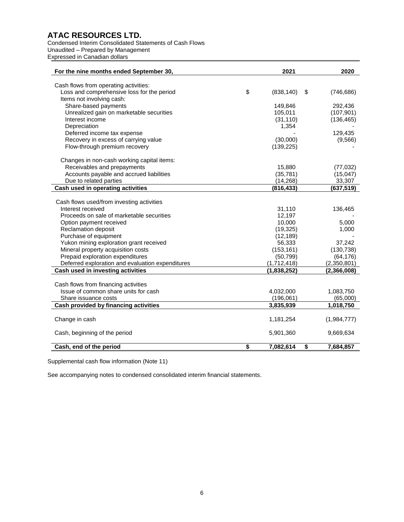Condensed Interim Consolidated Statements of Cash Flows Unaudited – Prepared by Management Expressed in Canadian dollars

| For the nine months ended September 30,          | 2021             |                                      | 2020          |
|--------------------------------------------------|------------------|--------------------------------------|---------------|
| Cash flows from operating activities:            |                  |                                      |               |
| Loss and comprehensive loss for the period       | \$<br>(838, 140) | \$                                   | (746, 686)    |
| Items not involving cash:                        |                  |                                      |               |
| Share-based payments                             | 149,846          |                                      | 292,436       |
| Unrealized gain on marketable securities         | 105,011          |                                      | (107, 901)    |
| Interest income                                  | (31, 110)        |                                      | (136, 465)    |
| Depreciation                                     | 1,354            |                                      |               |
| Deferred income tax expense                      |                  |                                      | 129,435       |
| Recovery in excess of carrying value             | (30,000)         |                                      | (9,566)       |
| Flow-through premium recovery                    | (139, 225)       |                                      |               |
| Changes in non-cash working capital items:       |                  |                                      |               |
| Receivables and prepayments                      | 15,880           |                                      | (77, 032)     |
| Accounts payable and accrued liabilities         | (35, 781)        |                                      | (15,047)      |
| Due to related parties                           | (14, 268)        |                                      | 33,307        |
| Cash used in operating activities                | (816, 433)       |                                      | (637, 519)    |
|                                                  |                  |                                      |               |
| Cash flows used/from investing activities        |                  |                                      |               |
| Interest received                                | 31,110           |                                      | 136,465       |
| Proceeds on sale of marketable securities        | 12,197           |                                      |               |
| Option payment received                          | 10,000           |                                      | 5,000         |
| Reclamation deposit                              | (19, 325)        |                                      | 1,000         |
| Purchase of equipment                            | (12, 189)        |                                      |               |
| Yukon mining exploration grant received          | 56,333           |                                      | 37,242        |
| Mineral property acquisition costs               | (153, 161)       |                                      | (130, 738)    |
| Prepaid exploration expenditures                 | (50, 799)        |                                      | (64, 176)     |
| Deferred exploration and evaluation expenditures | (1,712,418)      |                                      | (2,350,801)   |
| Cash used in investing activities                | (1,838,252)      |                                      | (2, 366, 008) |
|                                                  |                  |                                      |               |
| Cash flows from financing activities             |                  |                                      |               |
| Issue of common share units for cash             | 4,032,000        |                                      | 1,083,750     |
| Share issuance costs                             | (196,061)        |                                      | (65,000)      |
| Cash provided by financing activities            | 3,835,939        |                                      | 1,018,750     |
| Change in cash                                   | 1,181,254        |                                      | (1,984,777)   |
| Cash, beginning of the period                    | 5,901,360        |                                      | 9,669,634     |
| Cash, end of the period                          | \$<br>7,082,614  | $\overline{\boldsymbol{\mathsf{s}}}$ | 7,684,857     |

Supplemental cash flow information (Note 11)

See accompanying notes to condensed consolidated interim financial statements.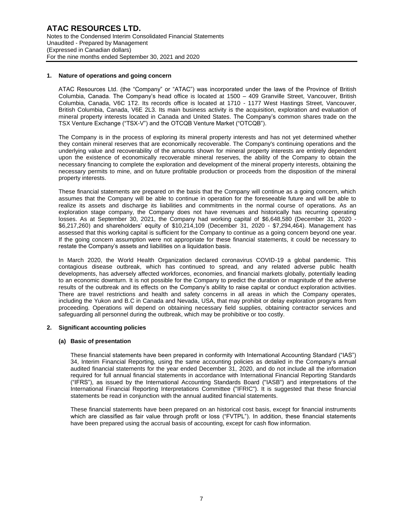## **1. Nature of operations and going concern**

ATAC Resources Ltd. (the "Company" or "ATAC") was incorporated under the laws of the Province of British Columbia, Canada. The Company's head office is located at 1500 – 409 Granville Street, Vancouver, British Columbia, Canada, V6C 1T2. Its records office is located at 1710 - 1177 West Hastings Street, Vancouver, British Columbia, Canada, V6E 2L3. Its main business activity is the acquisition, exploration and evaluation of mineral property interests located in Canada and United States. The Company's common shares trade on the TSX Venture Exchange ("TSX-V") and the OTCQB Venture Market ("OTCQB").

The Company is in the process of exploring its mineral property interests and has not yet determined whether they contain mineral reserves that are economically recoverable. The Company's continuing operations and the underlying value and recoverability of the amounts shown for mineral property interests are entirely dependent upon the existence of economically recoverable mineral reserves, the ability of the Company to obtain the necessary financing to complete the exploration and development of the mineral property interests, obtaining the necessary permits to mine, and on future profitable production or proceeds from the disposition of the mineral property interests.

These financial statements are prepared on the basis that the Company will continue as a going concern, which assumes that the Company will be able to continue in operation for the foreseeable future and will be able to realize its assets and discharge its liabilities and commitments in the normal course of operations. As an exploration stage company, the Company does not have revenues and historically has recurring operating losses. As at September 30, 2021, the Company had working capital of \$6,648,580 (December 31, 2020 - \$6,217,260) and shareholders' equity of \$10,214,109 (December 31, 2020 - \$7,294,464). Management has assessed that this working capital is sufficient for the Company to continue as a going concern beyond one year. If the going concern assumption were not appropriate for these financial statements, it could be necessary to restate the Company's assets and liabilities on a liquidation basis.

In March 2020, the World Health Organization declared coronavirus COVID-19 a global pandemic. This contagious disease outbreak, which has continued to spread, and any related adverse public health developments, has adversely affected workforces, economies, and financial markets globally, potentially leading to an economic downturn. It is not possible for the Company to predict the duration or magnitude of the adverse results of the outbreak and its effects on the Company's ability to raise capital or conduct exploration activities. There are travel restrictions and health and safety concerns in all areas in which the Company operates, including the Yukon and B.C in Canada and Nevada, USA, that may prohibit or delay exploration programs from proceeding. Operations will depend on obtaining necessary field supplies, obtaining contractor services and safeguarding all personnel during the outbreak, which may be prohibitive or too costly.

# **2. Significant accounting policies**

#### **(a) Basic of presentation**

These financial statements have been prepared in conformity with International Accounting Standard ("IAS") 34, Interim Financial Reporting, using the same accounting policies as detailed in the Company's annual audited financial statements for the year ended December 31, 2020, and do not include all the information required for full annual financial statements in accordance with International Financial Reporting Standards ("IFRS"), as issued by the International Accounting Standards Board ("IASB") and interpretations of the International Financial Reporting Interpretations Committee ("IFRIC"). It is suggested that these financial statements be read in conjunction with the annual audited financial statements.

These financial statements have been prepared on an historical cost basis, except for financial instruments which are classified as fair value through profit or loss ("FVTPL"). In addition, these financial statements have been prepared using the accrual basis of accounting, except for cash flow information.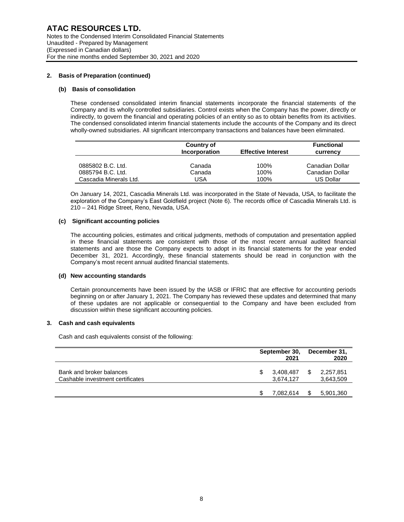# **2. Basis of Preparation (continued)**

# **(b) Basis of consolidation**

These condensed consolidated interim financial statements incorporate the financial statements of the Company and its wholly controlled subsidiaries. Control exists when the Company has the power, directly or indirectly, to govern the financial and operating policies of an entity so as to obtain benefits from its activities. The condensed consolidated interim financial statements include the accounts of the Company and its direct wholly-owned subsidiaries. All significant intercompany transactions and balances have been eliminated.

|                        | <b>Country of</b><br>Incorporation | <b>Effective Interest</b> | Functional<br>currency |
|------------------------|------------------------------------|---------------------------|------------------------|
| 0885802 B.C. Ltd.      | Canada                             | 100%                      | Canadian Dollar        |
| 0885794 B.C. Ltd.      | Canada                             | 100%                      | Canadian Dollar        |
| Cascadia Minerals Ltd. | USA                                | 100%                      | US Dollar              |

On January 14, 2021, Cascadia Minerals Ltd. was incorporated in the State of Nevada, USA, to facilitate the exploration of the Company's East Goldfield project (Note 6). The records office of Cascadia Minerals Ltd. is 210 – 241 Ridge Street, Reno, Nevada, USA.

# **(c) Significant accounting policies**

The accounting policies, estimates and critical judgments, methods of computation and presentation applied in these financial statements are consistent with those of the most recent annual audited financial statements and are those the Company expects to adopt in its financial statements for the year ended December 31, 2021. Accordingly, these financial statements should be read in conjunction with the Company's most recent annual audited financial statements.

# **(d) New accounting standards**

Certain pronouncements have been issued by the IASB or IFRIC that are effective for accounting periods beginning on or after January 1, 2021. The Company has reviewed these updates and determined that many of these updates are not applicable or consequential to the Company and have been excluded from discussion within these significant accounting policies.

# **3. Cash and cash equivalents**

Cash and cash equivalents consist of the following:

|                                                              | September 30,<br>2021        | December 31,<br>2020 |                        |  |
|--------------------------------------------------------------|------------------------------|----------------------|------------------------|--|
| Bank and broker balances<br>Cashable investment certificates | \$<br>3,408,487<br>3,674,127 | S                    | 2,257,851<br>3,643,509 |  |
|                                                              | 7.082.614                    |                      | 5,901,360              |  |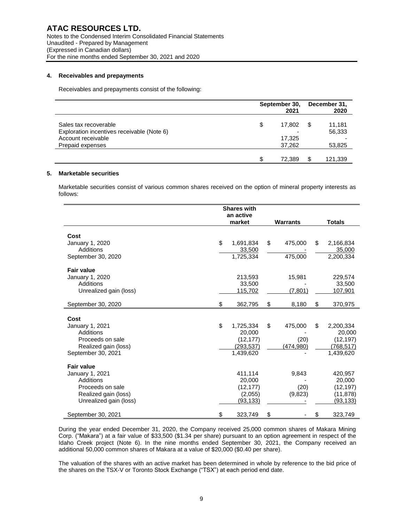# **4. Receivables and prepayments**

Receivables and prepayments consist of the following:

|                                                                                                               | September 30,<br>2021            | December 31,<br>2020             |
|---------------------------------------------------------------------------------------------------------------|----------------------------------|----------------------------------|
| Sales tax recoverable<br>Exploration incentives receivable (Note 6)<br>Account receivable<br>Prepaid expenses | \$<br>17,802<br>17.325<br>37,262 | \$<br>11,181<br>56,333<br>53,825 |
|                                                                                                               | 72.389                           | \$<br>121,339                    |

# **5. Marketable securities**

Marketable securities consist of various common shares received on the option of mineral property interests as follows:

|                        | <b>Shares with</b> |            |    |                 |    |               |  |  |
|------------------------|--------------------|------------|----|-----------------|----|---------------|--|--|
|                        |                    | an active  |    |                 |    |               |  |  |
|                        |                    | market     |    | <b>Warrants</b> |    | <b>Totals</b> |  |  |
|                        |                    |            |    |                 |    |               |  |  |
| Cost                   |                    |            |    |                 |    |               |  |  |
| January 1, 2020        | \$                 | 1,691,834  | \$ | 475,000         | \$ | 2,166,834     |  |  |
| <b>Additions</b>       |                    | 33,500     |    |                 |    | 35,000        |  |  |
| September 30, 2020     |                    | 1,725,334  |    | 475,000         |    | 2,200,334     |  |  |
| <b>Fair value</b>      |                    |            |    |                 |    |               |  |  |
| January 1, 2020        |                    | 213,593    |    | 15,981          |    | 229,574       |  |  |
| <b>Additions</b>       |                    | 33,500     |    |                 |    | 33,500        |  |  |
| Unrealized gain (loss) |                    | 115,702    |    | (7, 801)        |    | 107,901       |  |  |
|                        |                    |            |    |                 |    |               |  |  |
| September 30, 2020     | \$                 | 362,795    | \$ | 8,180           | \$ | 370,975       |  |  |
| Cost                   |                    |            |    |                 |    |               |  |  |
| January 1, 2021        | \$                 | 1,725,334  | \$ | 475,000         | \$ | 2,200,334     |  |  |
| <b>Additions</b>       |                    | 20,000     |    |                 |    | 20,000        |  |  |
| Proceeds on sale       |                    | (12, 177)  |    | (20)            |    | (12, 197)     |  |  |
| Realized gain (loss)   |                    | (293, 537) |    | (474,980)       |    | (768, 517)    |  |  |
| September 30, 2021     |                    | 1.439.620  |    |                 |    | 1,439,620     |  |  |
|                        |                    |            |    |                 |    |               |  |  |
| <b>Fair value</b>      |                    |            |    |                 |    |               |  |  |
| January 1, 2021        |                    | 411,114    |    | 9,843           |    | 420,957       |  |  |
| Additions              |                    | 20,000     |    |                 |    | 20,000        |  |  |
| Proceeds on sale       |                    | (12, 177)  |    | (20)            |    | (12, 197)     |  |  |
| Realized gain (loss)   |                    | (2,055)    |    | (9,823)         |    | (11, 878)     |  |  |
| Unrealized gain (loss) |                    | (93, 133)  |    |                 |    | (93, 133)     |  |  |
| September 30, 2021     | \$                 | 323,749    | \$ |                 | \$ | 323,749       |  |  |

During the year ended December 31, 2020, the Company received 25,000 common shares of Makara Mining Corp. ("Makara") at a fair value of \$33,500 (\$1.34 per share) pursuant to an option agreement in respect of the Idaho Creek project (Note 6). In the nine months ended September 30, 2021, the Company received an additional 50,000 common shares of Makara at a value of \$20,000 (\$0.40 per share).

The valuation of the shares with an active market has been determined in whole by reference to the bid price of the shares on the TSX-V or Toronto Stock Exchange ("TSX") at each period end date.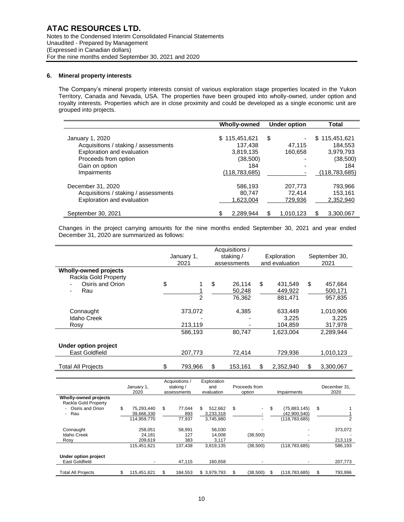# **6. Mineral property interests**

The Company's mineral property interests consist of various exploration stage properties located in the Yukon Territory, Canada and Nevada, USA. The properties have been grouped into wholly-owned, under option and royalty interests. Properties which are in close proximity and could be developed as a single economic unit are grouped into projects.

|                                                                                                                                 | Wholly-owned                                              | Under option                 | Total                                                        |
|---------------------------------------------------------------------------------------------------------------------------------|-----------------------------------------------------------|------------------------------|--------------------------------------------------------------|
| January 1, 2020<br>Acquisitions / staking / assessments<br>Exploration and evaluation<br>Proceeds from option<br>Gain on option | \$115,451,621<br>137,438<br>3,819,135<br>(38, 500)<br>184 | \$<br>47.115<br>160,658      | 115.451.621<br>S.<br>184.553<br>3,979,793<br>(38,500)<br>184 |
| <b>Impairments</b>                                                                                                              | (118, 783, 685)                                           |                              | (118, 783, 685)                                              |
| December 31, 2020<br>Acquisitions / staking / assessments<br>Exploration and evaluation                                         | 586,193<br>80.747<br>1.623.004                            | 207.773<br>72.414<br>729,936 | 793,966<br>153.161<br>2,352,940                              |
| September 30, 2021                                                                                                              | \$.<br>2,289,944                                          | \$<br>1,010,123              | \$<br>3,300,067                                              |

Changes in the project carrying amounts for the nine months ended September 30, 2021 and year ended December 31, 2020 are summarized as follows:

|                              | January 1,     | staking /     |    | Exploration    |      | September 30, |  |  |
|------------------------------|----------------|---------------|----|----------------|------|---------------|--|--|
|                              | 2021           | assessments   |    | and evaluation | 2021 |               |  |  |
| <b>Wholly-owned projects</b> |                |               |    |                |      |               |  |  |
| Rackla Gold Property         |                |               |    |                |      |               |  |  |
| Osiris and Orion             | \$             | \$<br>26.114  | \$ | 431.549        | \$   | 457.664       |  |  |
| Rau<br>-                     |                | 50,248        |    | 449,922        |      | 500,171       |  |  |
|                              | $\mathfrak{p}$ | 76,362        |    | 881,471        |      | 957,835       |  |  |
|                              |                |               |    |                |      |               |  |  |
| Connaught                    | 373,072        | 4,385         |    | 633,449        |      | 1,010,906     |  |  |
| Idaho Creek                  |                |               |    | 3,225          |      | 3,225         |  |  |
| Rosy                         | 213,119        |               |    | 104,859        |      | 317,978       |  |  |
|                              | 586,193        | 80,747        |    | 1.623.004      |      | 2,289,944     |  |  |
|                              |                |               |    |                |      |               |  |  |
| Under option project         |                |               |    |                |      |               |  |  |
| East Goldfield               | 207,773        | 72.414        |    | 729,936        |      | 1,010,123     |  |  |
|                              |                |               |    |                |      |               |  |  |
| <b>Total All Projects</b>    | 793,966        | \$<br>153,161 | \$ | 2,352,940      |      | 3,300,067     |  |  |

|                                        | January 1,<br>2020 |     | Acquisitions /<br>staking /<br>assessments | Exploration<br>and<br>evaluation | Proceeds from<br>option |    | Impairments     |    | December 31.<br>2020 |
|----------------------------------------|--------------------|-----|--------------------------------------------|----------------------------------|-------------------------|----|-----------------|----|----------------------|
| Wholly-owned projects                  |                    |     |                                            |                                  |                         |    |                 |    |                      |
| Rackla Gold Property                   |                    |     |                                            |                                  |                         |    |                 |    |                      |
| - Osiris and Orion                     | \$<br>75,293,440   | \$. | 77.044                                     | \$<br>512.662                    | \$<br>٠                 | \$ | (75,883,145)    | \$ |                      |
| Rau<br>$\sim$                          | 39,666,330         |     | 893                                        | 3,233,318                        |                         |    | (42,900,540)    |    |                      |
|                                        | 114,959,770        |     | 77.937                                     | 3,745,980                        |                         |    | (118, 783, 685) |    |                      |
| Connaught                              | 258.051            |     | 58.991                                     | 56.030                           |                         |    |                 |    | 373,072              |
| <b>Idaho Creek</b>                     | 24.181             |     | 127                                        | 14.008                           | (38,500)                |    |                 |    |                      |
| Rosy                                   | 209.619            |     | 383                                        | 3,117                            |                         |    |                 |    | 213,119              |
|                                        | 115.451.621        |     | 137.438                                    | 3.819.135                        | (38,500)                |    | (118, 783, 685) |    | 586,193              |
| Under option project<br>East Goldfield |                    |     | 47.115                                     | 160.658                          |                         |    |                 |    |                      |
|                                        |                    |     |                                            |                                  |                         |    |                 |    | 207,773              |
| <b>Total All Proiects</b>              | \$<br>115.451.621  | S   | 184.553                                    | \$3,979,793                      | \$<br>(38.500)          | S  | (118.783.685)   | S  | 793.996              |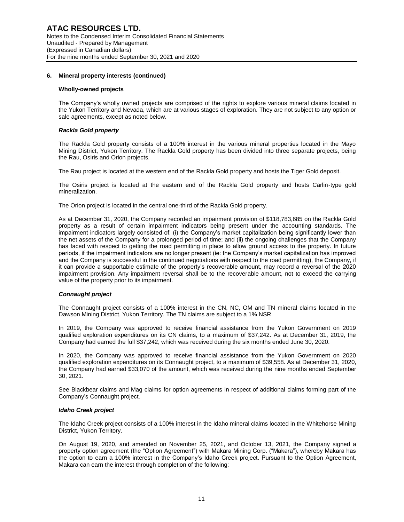#### **Wholly-owned projects**

The Company's wholly owned projects are comprised of the rights to explore various mineral claims located in the Yukon Territory and Nevada, which are at various stages of exploration. They are not subject to any option or sale agreements, except as noted below.

### *Rackla Gold property*

The Rackla Gold property consists of a 100% interest in the various mineral properties located in the Mayo Mining District, Yukon Territory. The Rackla Gold property has been divided into three separate projects, being the Rau, Osiris and Orion projects.

The Rau project is located at the western end of the Rackla Gold property and hosts the Tiger Gold deposit.

The Osiris project is located at the eastern end of the Rackla Gold property and hosts Carlin-type gold mineralization.

The Orion project is located in the central one-third of the Rackla Gold property.

As at December 31, 2020, the Company recorded an impairment provision of \$118,783,685 on the Rackla Gold property as a result of certain impairment indicators being present under the accounting standards. The impairment indicators largely consisted of: (i) the Company's market capitalization being significantly lower than the net assets of the Company for a prolonged period of time; and (ii) the ongoing challenges that the Company has faced with respect to getting the road permitting in place to allow ground access to the property. In future periods, if the impairment indicators are no longer present (ie: the Company's market capitalization has improved and the Company is successful in the continued negotiations with respect to the road permitting), the Company, if it can provide a supportable estimate of the property's recoverable amount, may record a reversal of the 2020 impairment provision. Any impairment reversal shall be to the recoverable amount, not to exceed the carrying value of the property prior to its impairment.

# *Connaught project*

The Connaught project consists of a 100% interest in the CN, NC, OM and TN mineral claims located in the Dawson Mining District, Yukon Territory. The TN claims are subject to a 1% NSR.

In 2019, the Company was approved to receive financial assistance from the Yukon Government on 2019 qualified exploration expenditures on its CN claims, to a maximum of \$37,242. As at December 31, 2019, the Company had earned the full \$37,242, which was received during the six months ended June 30, 2020.

In 2020, the Company was approved to receive financial assistance from the Yukon Government on 2020 qualified exploration expenditures on its Connaught project, to a maximum of \$39,558. As at December 31, 2020, the Company had earned \$33,070 of the amount, which was received during the nine months ended September 30, 2021.

See Blackbear claims and Mag claims for option agreements in respect of additional claims forming part of the Company's Connaught project.

#### *Idaho Creek project*

The Idaho Creek project consists of a 100% interest in the Idaho mineral claims located in the Whitehorse Mining District, Yukon Territory.

On August 19, 2020, and amended on November 25, 2021, and October 13, 2021, the Company signed a property option agreement (the "Option Agreement") with Makara Mining Corp. ("Makara"), whereby Makara has the option to earn a 100% interest in the Company's Idaho Creek project. Pursuant to the Option Agreement, Makara can earn the interest through completion of the following: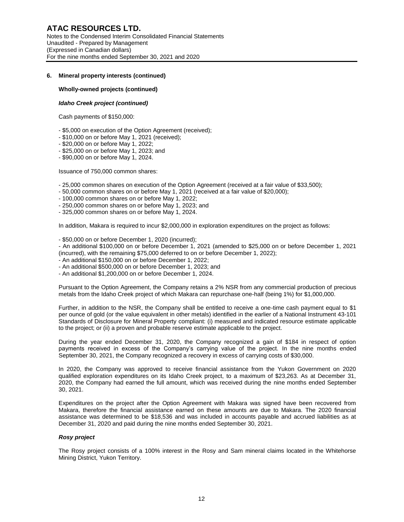## **Wholly-owned projects (continued)**

#### *Idaho Creek project (continued)*

Cash payments of \$150,000:

- \$5,000 on execution of the Option Agreement (received);
- \$10,000 on or before May 1, 2021 (received);
- \$20,000 on or before May 1, 2022;
- \$25,000 on or before May 1, 2023; and
- \$90,000 on or before May 1, 2024.

Issuance of 750,000 common shares:

- 25,000 common shares on execution of the Option Agreement (received at a fair value of \$33,500);
- 50,000 common shares on or before May 1, 2021 (received at a fair value of \$20,000);
- 100,000 common shares on or before May 1, 2022;
- 250,000 common shares on or before May 1, 2023; and
- 325,000 common shares on or before May 1, 2024.

In addition, Makara is required to incur \$2,000,000 in exploration expenditures on the project as follows:

- \$50,000 on or before December 1, 2020 (incurred);

- An additional \$100,000 on or before December 1, 2021 (amended to \$25,000 on or before December 1, 2021 (incurred), with the remaining \$75,000 deferred to on or before December 1, 2022);

- An additional \$150,000 on or before December 1, 2022;
- An additional \$500,000 on or before December 1, 2023; and
- An additional \$1,200,000 on or before December 1, 2024.

Pursuant to the Option Agreement, the Company retains a 2% NSR from any commercial production of precious metals from the Idaho Creek project of which Makara can repurchase one-half (being 1%) for \$1,000,000.

Further, in addition to the NSR, the Company shall be entitled to receive a one-time cash payment equal to \$1 per ounce of gold (or the value equivalent in other metals) identified in the earlier of a National Instrument 43-101 Standards of Disclosure for Mineral Property compliant: (i) measured and indicated resource estimate applicable to the project; or (ii) a proven and probable reserve estimate applicable to the project.

During the year ended December 31, 2020, the Company recognized a gain of \$184 in respect of option payments received in excess of the Company's carrying value of the project. In the nine months ended September 30, 2021, the Company recognized a recovery in excess of carrying costs of \$30,000.

In 2020, the Company was approved to receive financial assistance from the Yukon Government on 2020 qualified exploration expenditures on its Idaho Creek project, to a maximum of \$23,263. As at December 31, 2020, the Company had earned the full amount, which was received during the nine months ended September 30, 2021.

Expenditures on the project after the Option Agreement with Makara was signed have been recovered from Makara, therefore the financial assistance earned on these amounts are due to Makara. The 2020 financial assistance was determined to be \$18,536 and was included in accounts payable and accrued liabilities as at December 31, 2020 and paid during the nine months ended September 30, 2021.

#### *Rosy project*

The Rosy project consists of a 100% interest in the Rosy and Sam mineral claims located in the Whitehorse Mining District, Yukon Territory.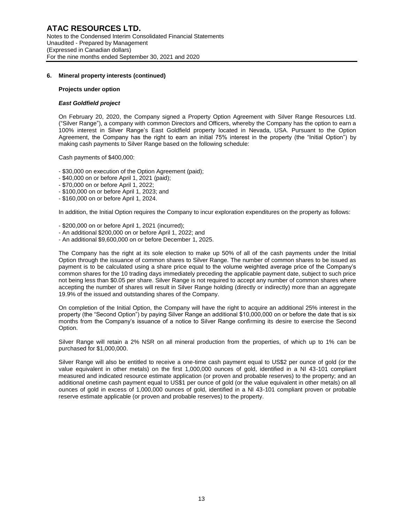#### **Projects under option**

## *East Goldfield project*

On February 20, 2020, the Company signed a Property Option Agreement with Silver Range Resources Ltd. ("Silver Range"), a company with common Directors and Officers, whereby the Company has the option to earn a 100% interest in Silver Range's East Goldfield property located in Nevada, USA. Pursuant to the Option Agreement, the Company has the right to earn an initial 75% interest in the property (the "Initial Option") by making cash payments to Silver Range based on the following schedule:

Cash payments of \$400,000:

- \$30,000 on execution of the Option Agreement (paid);

- \$40,000 on or before April 1, 2021 (paid);
- \$70,000 on or before April 1, 2022;
- \$100,000 on or before April 1, 2023; and
- \$160,000 on or before April 1, 2024.

In addition, the Initial Option requires the Company to incur exploration expenditures on the property as follows:

- \$200,000 on or before April 1, 2021 (incurred);
- An additional \$200,000 on or before April 1, 2022; and
- An additional \$9,600,000 on or before December 1, 2025.

The Company has the right at its sole election to make up 50% of all of the cash payments under the Initial Option through the issuance of common shares to Silver Range. The number of common shares to be issued as payment is to be calculated using a share price equal to the volume weighted average price of the Company's common shares for the 10 trading days immediately preceding the applicable payment date, subject to such price not being less than \$0.05 per share. Silver Range is not required to accept any number of common shares where accepting the number of shares will result in Silver Range holding (directly or indirectly) more than an aggregate 19.9% of the issued and outstanding shares of the Company.

On completion of the Initial Option, the Company will have the right to acquire an additional 25% interest in the property (the "Second Option") by paying Silver Range an additional \$10,000,000 on or before the date that is six months from the Company's issuance of a notice to Silver Range confirming its desire to exercise the Second Option.

Silver Range will retain a 2% NSR on all mineral production from the properties, of which up to 1% can be purchased for \$1,000,000.

Silver Range will also be entitled to receive a one-time cash payment equal to US\$2 per ounce of gold (or the value equivalent in other metals) on the first 1,000,000 ounces of gold, identified in a NI 43-101 compliant measured and indicated resource estimate application (or proven and probable reserves) to the property; and an additional onetime cash payment equal to US\$1 per ounce of gold (or the value equivalent in other metals) on all ounces of gold in excess of 1,000,000 ounces of gold, identified in a NI 43-101 compliant proven or probable reserve estimate applicable (or proven and probable reserves) to the property.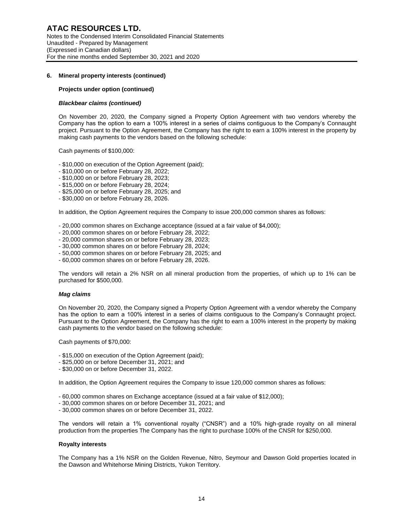## **Projects under option (continued)**

## *Blackbear claims (continued)*

On November 20, 2020, the Company signed a Property Option Agreement with two vendors whereby the Company has the option to earn a 100% interest in a series of claims contiguous to the Company's Connaught project. Pursuant to the Option Agreement, the Company has the right to earn a 100% interest in the property by making cash payments to the vendors based on the following schedule:

Cash payments of \$100,000:

- \$10,000 on execution of the Option Agreement (paid);
- \$10,000 on or before February 28, 2022;
- \$10,000 on or before February 28, 2023;
- \$15,000 on or before February 28, 2024;
- \$25,000 on or before February 28, 2025; and
- \$30,000 on or before February 28, 2026.

In addition, the Option Agreement requires the Company to issue 200,000 common shares as follows:

- 20,000 common shares on Exchange acceptance (issued at a fair value of \$4,000);
- 20,000 common shares on or before February 28, 2022;
- 20,000 common shares on or before February 28, 2023;
- 30,000 common shares on or before February 28, 2024;
- 50,000 common shares on or before February 28, 2025; and
- 60,000 common shares on or before February 28, 2026.

The vendors will retain a 2% NSR on all mineral production from the properties, of which up to 1% can be purchased for \$500,000.

#### *Mag claims*

On November 20, 2020, the Company signed a Property Option Agreement with a vendor whereby the Company has the option to earn a 100% interest in a series of claims contiguous to the Company's Connaught project. Pursuant to the Option Agreement, the Company has the right to earn a 100% interest in the property by making cash payments to the vendor based on the following schedule:

Cash payments of \$70,000:

- \$15,000 on execution of the Option Agreement (paid);
- \$25,000 on or before December 31, 2021; and
- \$30,000 on or before December 31, 2022.

In addition, the Option Agreement requires the Company to issue 120,000 common shares as follows:

- 60,000 common shares on Exchange acceptance (issued at a fair value of \$12,000);
- 30,000 common shares on or before December 31, 2021; and
- 30,000 common shares on or before December 31, 2022.

The vendors will retain a 1% conventional royalty ("CNSR") and a 10% high-grade royalty on all mineral production from the properties The Company has the right to purchase 100% of the CNSR for \$250,000.

## **Royalty interests**

The Company has a 1% NSR on the Golden Revenue, Nitro, Seymour and Dawson Gold properties located in the Dawson and Whitehorse Mining Districts, Yukon Territory.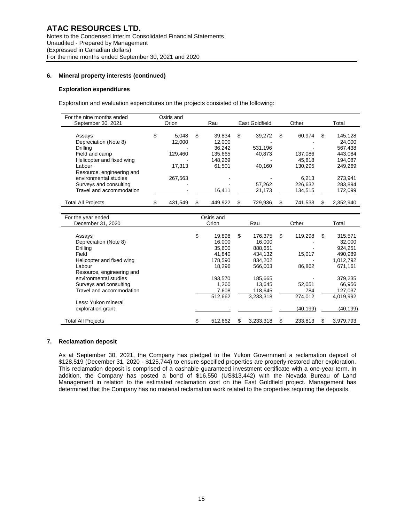#### **Exploration expenditures**

Exploration and evaluation expenditures on the projects consisted of the following:

| For the nine months ended |       | Osiris and |    |         |    |                |       |         |     |           |  |
|---------------------------|-------|------------|----|---------|----|----------------|-------|---------|-----|-----------|--|
| September 30, 2021        | Orion |            |    | Rau     |    | East Goldfield | Other |         |     | Total     |  |
|                           |       |            |    |         |    |                |       |         |     |           |  |
| Assays                    | \$    | 5.048      | \$ | 39.834  | \$ | 39.272         | \$    | 60.974  | \$  | 145,128   |  |
| Depreciation (Note 8)     |       | 12.000     |    | 12.000  |    |                |       |         |     | 24.000    |  |
| Drillina                  |       |            |    | 36.242  |    | 531,196        |       |         |     | 567.438   |  |
| Field and camp            |       | 129.460    |    | 135.665 |    | 40.873         |       | 137.086 |     | 443.084   |  |
| Helicopter and fixed wing |       |            |    | 148.269 |    |                |       | 45.818  |     | 194.087   |  |
| Labour                    |       | 17.313     |    | 61.501  |    | 40.160         |       | 130.295 |     | 249.269   |  |
| Resource, engineering and |       |            |    |         |    |                |       |         |     |           |  |
| environmental studies     |       | 267.563    |    |         |    |                |       | 6.213   |     | 273.941   |  |
| Surveys and consulting    |       |            |    |         |    | 57.262         |       | 226.632 |     | 283.894   |  |
| Travel and accommodation  |       |            |    | 16,411  |    | 21,173         |       | 134,515 |     | 172,099   |  |
| <b>Total All Projects</b> |       | 431,549    | S  | 449.922 | S  | 729,936        |       | 741,533 | \$. | 2,352,940 |  |
|                           |       |            |    |         |    |                |       |         |     |           |  |

| For the year ended        | Osiris and    |   |           |               |   |           |
|---------------------------|---------------|---|-----------|---------------|---|-----------|
| December 31, 2020         | Orion         |   | Rau       | Other         |   | Total     |
|                           |               |   |           |               |   |           |
| Assays                    | \$<br>19.898  | S | 176.375   | \$<br>119.298 | S | 315,571   |
| Depreciation (Note 8)     | 16.000        |   | 16.000    |               |   | 32,000    |
| Drilling                  | 35,600        |   | 888,651   |               |   | 924,251   |
| Field                     | 41,840        |   | 434.132   | 15,017        |   | 490,989   |
| Helicopter and fixed wing | 178,590       |   | 834,202   |               |   | 1,012,792 |
| Labour                    | 18.296        |   | 566,003   | 86,862        |   | 671,161   |
| Resource, engineering and |               |   |           |               |   |           |
| environmental studies     | 193,570       |   | 185,665   |               |   | 379,235   |
| Surveys and consulting    | 1,260         |   | 13.645    | 52,051        |   | 66,956    |
| Travel and accommodation  | 7,608         |   | 118,645   | 784           |   | 127,037   |
|                           | 512.662       |   | 3,233,318 | 274.012       |   | 4.019.992 |
| Less: Yukon mineral       |               |   |           |               |   |           |
| exploration grant         |               |   |           | (40, 199)     |   | (40, 199) |
|                           |               |   |           |               |   |           |
| <b>Total All Projects</b> | \$<br>512,662 | S | 3,233,318 | 233,813       | S | 3,979,793 |

## **7. Reclamation deposit**

As at September 30, 2021, the Company has pledged to the Yukon Government a reclamation deposit of \$128,519 (December 31, 2020 - \$125,744) to ensure specified properties are properly restored after exploration. This reclamation deposit is comprised of a cashable guaranteed investment certificate with a one-year term. In addition, the Company has posted a bond of \$16,550 (US\$13,442) with the Nevada Bureau of Land Management in relation to the estimated reclamation cost on the East Goldfield project. Management has determined that the Company has no material reclamation work related to the properties requiring the deposits.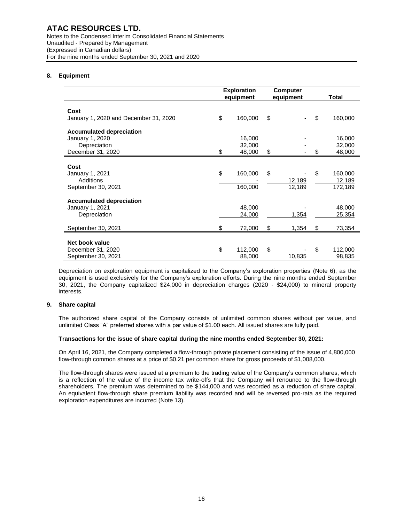Notes to the Condensed Interim Consolidated Financial Statements Unaudited - Prepared by Management (Expressed in Canadian dollars) For the nine months ended September 30, 2021 and 2020

# **8. Equipment**

|                                       | <b>Exploration</b><br>equipment |         | <b>Computer</b><br>equipment |    | <b>Total</b> |
|---------------------------------------|---------------------------------|---------|------------------------------|----|--------------|
|                                       |                                 |         |                              |    |              |
| Cost                                  |                                 |         |                              |    |              |
| January 1, 2020 and December 31, 2020 | \$                              | 160,000 | \$                           | \$ | 160,000      |
| <b>Accumulated depreciation</b>       |                                 |         |                              |    |              |
| January 1, 2020                       |                                 | 16,000  |                              |    | 16,000       |
| Depreciation                          |                                 | 32,000  |                              |    | 32,000       |
| December 31, 2020                     | \$                              | 48,000  | \$                           | \$ | 48,000       |
|                                       |                                 |         |                              |    |              |
| Cost                                  |                                 |         |                              |    |              |
| January 1, 2021                       | \$                              | 160,000 | \$                           | \$ | 160,000      |
| Additions                             |                                 |         | 12,189                       |    | 12,189       |
| September 30, 2021                    |                                 | 160,000 | 12,189                       |    | 172,189      |
| <b>Accumulated depreciation</b>       |                                 |         |                              |    |              |
| January 1, 2021                       |                                 | 48,000  |                              |    | 48,000       |
| Depreciation                          |                                 | 24,000  | 1,354                        |    | 25,354       |
|                                       |                                 |         |                              |    |              |
| September 30, 2021                    | \$                              | 72,000  | \$<br>1,354                  | \$ | 73,354       |
|                                       |                                 |         |                              |    |              |
| Net book value                        |                                 |         |                              |    |              |
| December 31, 2020                     | \$                              | 112,000 | \$                           | \$ | 112,000      |
| September 30, 2021                    |                                 | 88,000  | 10,835                       |    | 98,835       |

Depreciation on exploration equipment is capitalized to the Company's exploration properties (Note 6), as the equipment is used exclusively for the Company's exploration efforts. During the nine months ended September 30, 2021, the Company capitalized \$24,000 in depreciation charges (2020 - \$24,000) to mineral property interests.

# **9. Share capital**

The authorized share capital of the Company consists of unlimited common shares without par value, and unlimited Class "A" preferred shares with a par value of \$1.00 each. All issued shares are fully paid.

# **Transactions for the issue of share capital during the nine months ended September 30, 2021:**

On April 16, 2021, the Company completed a flow-through private placement consisting of the issue of 4,800,000 flow-through common shares at a price of \$0.21 per common share for gross proceeds of \$1,008,000.

The flow-through shares were issued at a premium to the trading value of the Company's common shares, which is a reflection of the value of the income tax write-offs that the Company will renounce to the flow-through shareholders. The premium was determined to be \$144,000 and was recorded as a reduction of share capital. An equivalent flow-through share premium liability was recorded and will be reversed pro-rata as the required exploration expenditures are incurred (Note 13).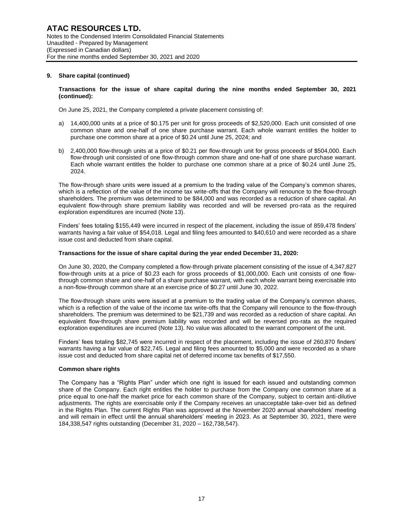# **9. Share capital (continued)**

## **Transactions for the issue of share capital during the nine months ended September 30, 2021 (continued):**

On June 25, 2021, the Company completed a private placement consisting of:

- a) 14,400,000 units at a price of \$0.175 per unit for gross proceeds of \$2,520,000. Each unit consisted of one common share and one-half of one share purchase warrant. Each whole warrant entitles the holder to purchase one common share at a price of \$0.24 until June 25, 2024; and
- b) 2,400,000 flow-through units at a price of \$0.21 per flow-through unit for gross proceeds of \$504,000. Each flow-through unit consisted of one flow-through common share and one-half of one share purchase warrant. Each whole warrant entitles the holder to purchase one common share at a price of \$0.24 until June 25, 2024.

The flow-through share units were issued at a premium to the trading value of the Company's common shares, which is a reflection of the value of the income tax write-offs that the Company will renounce to the flow-through shareholders. The premium was determined to be \$84,000 and was recorded as a reduction of share capital. An equivalent flow-through share premium liability was recorded and will be reversed pro-rata as the required exploration expenditures are incurred (Note 13).

Finders' fees totaling \$155,449 were incurred in respect of the placement, including the issue of 859,478 finders' warrants having a fair value of \$54,018. Legal and filing fees amounted to \$40,610 and were recorded as a share issue cost and deducted from share capital.

# **Transactions for the issue of share capital during the year ended December 31, 2020:**

On June 30, 2020, the Company completed a flow-through private placement consisting of the issue of 4,347,827 flow-through units at a price of \$0.23 each for gross proceeds of \$1,000,000. Each unit consists of one flowthrough common share and one-half of a share purchase warrant, with each whole warrant being exercisable into a non-flow-through common share at an exercise price of \$0.27 until June 30, 2022.

The flow-through share units were issued at a premium to the trading value of the Company's common shares, which is a reflection of the value of the income tax write-offs that the Company will renounce to the flow-through shareholders. The premium was determined to be \$21,739 and was recorded as a reduction of share capital. An equivalent flow-through share premium liability was recorded and will be reversed pro-rata as the required exploration expenditures are incurred (Note 13). No value was allocated to the warrant component of the unit.

Finders' fees totaling \$82,745 were incurred in respect of the placement, including the issue of 260,870 finders' warrants having a fair value of \$22,745. Legal and filing fees amounted to \$5,000 and were recorded as a share issue cost and deducted from share capital net of deferred income tax benefits of \$17,550.

#### **Common share rights**

The Company has a "Rights Plan" under which one right is issued for each issued and outstanding common share of the Company. Each right entitles the holder to purchase from the Company one common share at a price equal to one-half the market price for each common share of the Company, subject to certain anti-dilutive adjustments. The rights are exercisable only if the Company receives an unacceptable take-over bid as defined in the Rights Plan. The current Rights Plan was approved at the November 2020 annual shareholders' meeting and will remain in effect until the annual shareholders' meeting in 2023. As at September 30, 2021, there were 184,338,547 rights outstanding (December 31, 2020 – 162,738,547).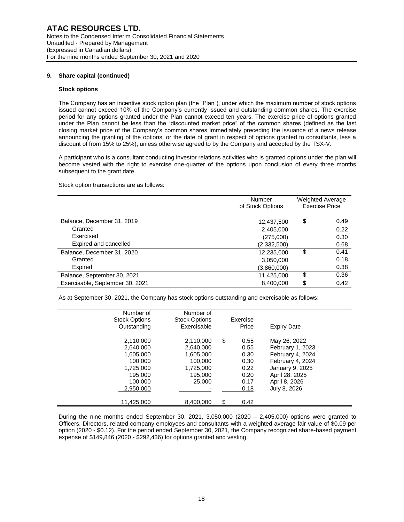# **9. Share capital (continued)**

## **Stock options**

The Company has an incentive stock option plan (the "Plan"), under which the maximum number of stock options issued cannot exceed 10% of the Company's currently issued and outstanding common shares. The exercise period for any options granted under the Plan cannot exceed ten years. The exercise price of options granted under the Plan cannot be less than the "discounted market price" of the common shares (defined as the last closing market price of the Company's common shares immediately preceding the issuance of a news release announcing the granting of the options, or the date of grant in respect of options granted to consultants, less a discount of from 15% to 25%), unless otherwise agreed to by the Company and accepted by the TSX-V.

A participant who is a consultant conducting investor relations activities who is granted options under the plan will become vested with the right to exercise one-quarter of the options upon conclusion of every three months subsequent to the grant date.

Stock option transactions are as follows:

|                                 | Number<br>of Stock Options | <b>Weighted Average</b><br><b>Exercise Price</b> |
|---------------------------------|----------------------------|--------------------------------------------------|
|                                 |                            |                                                  |
| Balance, December 31, 2019      | 12,437,500                 | \$<br>0.49                                       |
| Granted                         | 2,405,000                  | 0.22                                             |
| Exercised                       | (275,000)                  | 0.30                                             |
| Expired and cancelled           | (2,332,500)                | 0.68                                             |
| Balance, December 31, 2020      | 12,235,000                 | \$<br>0.41                                       |
| Granted                         | 3,050,000                  | 0.18                                             |
| Expired                         | (3,860,000)                | 0.38                                             |
| Balance, September 30, 2021     | 11,425,000                 | \$<br>0.36                                       |
| Exercisable, September 30, 2021 | 8,400,000                  | \$<br>0.42                                       |

As at September 30, 2021, the Company has stock options outstanding and exercisable as follows:

| Number of<br><b>Stock Options</b><br>Outstanding                                                             | Number of<br><b>Stock Options</b><br>Exercisable                                              | Exercise<br>Price                                                                | <b>Expiry Date</b>                                                                                                                             |  |
|--------------------------------------------------------------------------------------------------------------|-----------------------------------------------------------------------------------------------|----------------------------------------------------------------------------------|------------------------------------------------------------------------------------------------------------------------------------------------|--|
| 2,110,000<br>2,640,000<br>1,605,000<br>100.000<br>1,725,000<br>195.000<br>100,000<br>2,950,000<br>11,425,000 | 2,110,000<br>2,640,000<br>1,605,000<br>100.000<br>1,725,000<br>195.000<br>25,000<br>8,400,000 | \$<br>0.55<br>0.55<br>0.30<br>0.30<br>0.22<br>0.20<br>0.17<br>0.18<br>\$<br>0.42 | May 26, 2022<br>February 1, 2023<br>February 4, 2024<br>February 4, 2024<br>January 9, 2025<br>April 28, 2025<br>April 8, 2026<br>July 8, 2026 |  |

During the nine months ended September 30, 2021, 3,050,000 (2020 – 2,405,000) options were granted to Officers, Directors, related company employees and consultants with a weighted average fair value of \$0.09 per option (2020 - \$0.12). For the period ended September 30, 2021, the Company recognized share-based payment expense of \$149,846 (2020 - \$292,436) for options granted and vesting.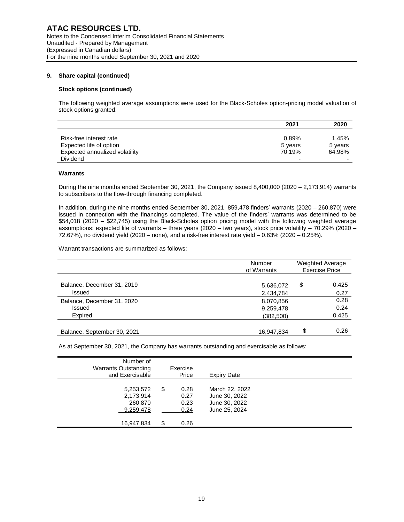## **9. Share capital (continued)**

## **Stock options (continued)**

The following weighted average assumptions were used for the Black-Scholes option-pricing model valuation of stock options granted:

|                                | 2021    | 2020    |
|--------------------------------|---------|---------|
|                                |         |         |
| Risk-free interest rate        | 0.89%   | 1.45%   |
| Expected life of option        | 5 years | 5 years |
| Expected annualized volatility | 70.19%  | 64.98%  |
| <b>Dividend</b>                | -       | -       |

### **Warrants**

During the nine months ended September 30, 2021, the Company issued 8,400,000 (2020 – 2,173,914) warrants to subscribers to the flow-through financing completed.

In addition, during the nine months ended September 30, 2021, 859,478 finders' warrants (2020 – 260,870) were issued in connection with the financings completed. The value of the finders' warrants was determined to be \$54,018 (2020 – \$22,745) using the Black-Scholes option pricing model with the following weighted average assumptions: expected life of warrants – three years (2020 – two years), stock price volatility – 70.29% (2020 –  $72.67%$ ), no dividend yield (2020 – none), and a risk-free interest rate yield – 0.63% (2020 – 0.25%).

Warrant transactions are summarized as follows:

|                             | Number<br>of Warrants | <b>Weighted Average</b><br><b>Exercise Price</b> |       |  |
|-----------------------------|-----------------------|--------------------------------------------------|-------|--|
| Balance, December 31, 2019  | 5,636,072             | \$                                               | 0.425 |  |
| <b>Issued</b>               | 2,434,784             |                                                  | 0.27  |  |
| Balance, December 31, 2020  | 8,070,856             |                                                  | 0.28  |  |
| <b>Issued</b>               | 9,259,478             |                                                  | 0.24  |  |
| Expired                     | (382, 500)            |                                                  | 0.425 |  |
| Balance, September 30, 2021 | 16.947.834            | \$                                               | 0.26  |  |

As at September 30, 2021, the Company has warrants outstanding and exercisable as follows:

| Number of<br><b>Warrants Outstanding</b><br>and Exercisable | Exercise<br>Price                  | <b>Expiry Date</b>                                                |  |
|-------------------------------------------------------------|------------------------------------|-------------------------------------------------------------------|--|
| 5,253,572<br>2,173,914<br>260,870<br>9,259,478              | \$<br>0.28<br>0.27<br>0.23<br>0.24 | March 22, 2022<br>June 30, 2022<br>June 30, 2022<br>June 25, 2024 |  |
| 16,947,834                                                  | \$<br>0.26                         |                                                                   |  |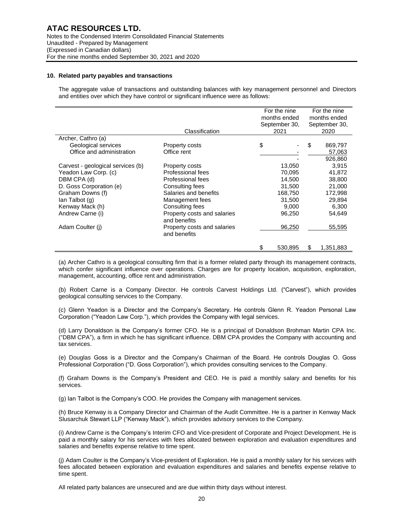## **10. Related party payables and transactions**

The aggregate value of transactions and outstanding balances with key management personnel and Directors and entities over which they have control or significant influence were as follows:

|                                   |                                             | For the nine<br>months ended | For the nine<br>months ended |           |
|-----------------------------------|---------------------------------------------|------------------------------|------------------------------|-----------|
|                                   |                                             | September 30,                | September 30,                |           |
|                                   | Classification                              | 2021                         |                              | 2020      |
| Archer, Cathro (a)                |                                             |                              |                              |           |
| Geological services               | Property costs                              | \$                           | S                            | 869,797   |
| Office and administration         | Office rent                                 |                              |                              | 57,063    |
|                                   |                                             |                              |                              | 926,860   |
| Carvest - geological services (b) | Property costs                              | 13,050                       |                              | 3,915     |
| Yeadon Law Corp. (c)              | Professional fees                           | 70,095                       |                              | 41,872    |
| DBM CPA (d)                       | Professional fees                           | 14,500                       |                              | 38,800    |
| D. Goss Corporation (e)           | Consulting fees                             | 31,500                       |                              | 21,000    |
| Graham Downs (f)                  | Salaries and benefits                       | 168,750                      |                              | 172,998   |
| lan Talbot (g)                    | Management fees                             | 31,500                       |                              | 29,894    |
| Kenway Mack (h)                   | Consulting fees                             | 9,000                        |                              | 6,300     |
| Andrew Carne (i)                  | Property costs and salaries<br>and benefits | 96,250                       |                              | 54,649    |
| Adam Coulter (i)                  | Property costs and salaries<br>and benefits | 96,250                       |                              | 55,595    |
|                                   |                                             | \$<br>530,895                | \$                           | 1,351,883 |

(a) Archer Cathro is a geological consulting firm that is a former related party through its management contracts, which confer significant influence over operations. Charges are for property location, acquisition, exploration, management, accounting, office rent and administration.

(b) Robert Carne is a Company Director. He controls Carvest Holdings Ltd. ("Carvest"), which provides geological consulting services to the Company.

(c) Glenn Yeadon is a Director and the Company's Secretary. He controls Glenn R. Yeadon Personal Law Corporation ("Yeadon Law Corp."), which provides the Company with legal services.

(d) Larry Donaldson is the Company's former CFO. He is a principal of Donaldson Brohman Martin CPA Inc. ("DBM CPA"), a firm in which he has significant influence. DBM CPA provides the Company with accounting and tax services.

(e) Douglas Goss is a Director and the Company's Chairman of the Board. He controls Douglas O. Goss Professional Corporation ("D. Goss Corporation"), which provides consulting services to the Company.

(f) Graham Downs is the Company's President and CEO. He is paid a monthly salary and benefits for his services.

(g) Ian Talbot is the Company's COO. He provides the Company with management services.

(h) Bruce Kenway is a Company Director and Chairman of the Audit Committee. He is a partner in Kenway Mack Slusarchuk Stewart LLP ("Kenway Mack"), which provides advisory services to the Company.

(i) Andrew Carne is the Company's Interim CFO and Vice-president of Corporate and Project Development. He is paid a monthly salary for his services with fees allocated between exploration and evaluation expenditures and salaries and benefits expense relative to time spent.

(j) Adam Coulter is the Company's Vice-president of Exploration. He is paid a monthly salary for his services with fees allocated between exploration and evaluation expenditures and salaries and benefits expense relative to time spent.

All related party balances are unsecured and are due within thirty days without interest.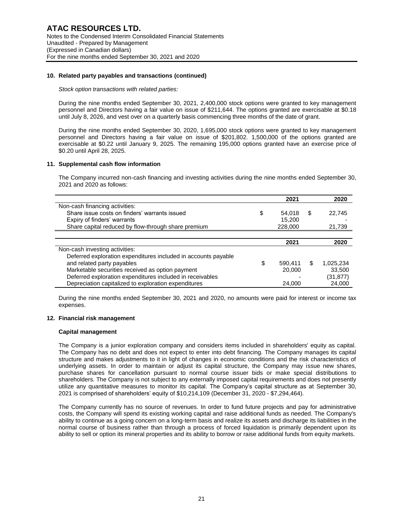## **10. Related party payables and transactions (continued)**

*Stock option transactions with related parties:*

During the nine months ended September 30, 2021, 2,400,000 stock options were granted to key management personnel and Directors having a fair value on issue of \$211,644. The options granted are exercisable at \$0.18 until July 8, 2026, and vest over on a quarterly basis commencing three months of the date of grant.

During the nine months ended September 30, 2020, 1,695,000 stock options were granted to key management personnel and Directors having a fair value on issue of \$201,802. 1,500,000 of the options granted are exercisable at \$0.22 until January 9, 2025. The remaining 195,000 options granted have an exercise price of \$0.20 until April 28, 2025.

## **11. Supplemental cash flow information**

The Company incurred non-cash financing and investing activities during the nine months ended September 30, 2021 and 2020 as follows:

|                                                                | 2021          | 2020            |
|----------------------------------------------------------------|---------------|-----------------|
| Non-cash financing activities:                                 |               |                 |
| Share issue costs on finders' warrants issued                  | \$<br>54,018  | \$<br>22,745    |
| Expiry of finders' warrants                                    | 15.200        |                 |
| Share capital reduced by flow-through share premium            | 228,000       | 21,739          |
|                                                                |               |                 |
|                                                                | 2021          | 2020            |
| Non-cash investing activities:                                 |               |                 |
| Deferred exploration expenditures included in accounts payable |               |                 |
| and related party payables                                     | \$<br>590,411 | \$<br>1,025,234 |
| Marketable securities received as option payment               | 20,000        | 33,500          |
| Deferred exploration expenditures included in receivables      |               | (31, 877)       |
| Depreciation capitalized to exploration expenditures           | 24.000        | 24,000          |

During the nine months ended September 30, 2021 and 2020, no amounts were paid for interest or income tax expenses.

#### **12. Financial risk management**

#### **Capital management**

The Company is a junior exploration company and considers items included in shareholders' equity as capital. The Company has no debt and does not expect to enter into debt financing. The Company manages its capital structure and makes adjustments to it in light of changes in economic conditions and the risk characteristics of underlying assets. In order to maintain or adjust its capital structure, the Company may issue new shares, purchase shares for cancellation pursuant to normal course issuer bids or make special distributions to shareholders. The Company is not subject to any externally imposed capital requirements and does not presently utilize any quantitative measures to monitor its capital. The Company's capital structure as at September 30, 2021 is comprised of shareholders' equity of \$10,214,109 (December 31, 2020 - \$7,294,464).

The Company currently has no source of revenues. In order to fund future projects and pay for administrative costs, the Company will spend its existing working capital and raise additional funds as needed. The Company's ability to continue as a going concern on a long-term basis and realize its assets and discharge its liabilities in the normal course of business rather than through a process of forced liquidation is primarily dependent upon its ability to sell or option its mineral properties and its ability to borrow or raise additional funds from equity markets.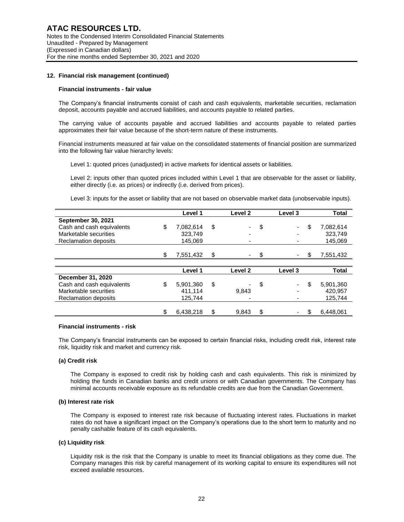## **12. Financial risk management (continued)**

#### **Financial instruments - fair value**

The Company's financial instruments consist of cash and cash equivalents, marketable securities, reclamation deposit, accounts payable and accrued liabilities, and accounts payable to related parties.

The carrying value of accounts payable and accrued liabilities and accounts payable to related parties approximates their fair value because of the short-term nature of these instruments.

Financial instruments measured at fair value on the consolidated statements of financial position are summarized into the following fair value hierarchy levels:

Level 1: quoted prices (unadjusted) in active markets for identical assets or liabilities.

Level 2: inputs other than quoted prices included within Level 1 that are observable for the asset or liability, either directly (i.e. as prices) or indirectly (i.e. derived from prices).

Level 3: inputs for the asset or liability that are not based on observable market data (unobservable inputs).

|                             |     | Level 1   | Level 2     |     | Level 3 | <b>Total</b>    |
|-----------------------------|-----|-----------|-------------|-----|---------|-----------------|
| <b>September 30, 2021</b>   |     |           |             |     |         |                 |
| Cash and cash equivalents   | \$  | 7,082,614 | \$          | \$  |         | \$<br>7,082,614 |
| Marketable securities       |     | 323.749   | -           |     |         | 323.749         |
| <b>Reclamation deposits</b> |     | 145,069   |             |     |         | 145,069         |
|                             |     |           |             |     |         |                 |
|                             | \$. | 7,551,432 | \$          | \$. |         | \$<br>7,551,432 |
|                             |     |           |             |     |         |                 |
|                             |     | Level 1   | Level 2     |     | Level 3 | <b>Total</b>    |
| December 31, 2020           |     |           |             |     |         |                 |
| Cash and cash equivalents   | \$  | 5,901,360 | \$          | \$  |         | \$<br>5,901,360 |
| Marketable securities       |     | 411.114   | 9,843       |     |         | 420.957         |
| <b>Reclamation deposits</b> |     | 125,744   |             |     |         | 125,744         |
|                             |     |           |             |     |         |                 |
|                             |     | 6,438,218 | \$<br>9.843 | \$  |         | \$<br>6.448.061 |

#### **Financial instruments - risk**

The Company's financial instruments can be exposed to certain financial risks, including credit risk, interest rate risk, liquidity risk and market and currency risk.

#### **(a) Credit risk**

The Company is exposed to credit risk by holding cash and cash equivalents. This risk is minimized by holding the funds in Canadian banks and credit unions or with Canadian governments. The Company has minimal accounts receivable exposure as its refundable credits are due from the Canadian Government.

#### **(b) Interest rate risk**

The Company is exposed to interest rate risk because of fluctuating interest rates. Fluctuations in market rates do not have a significant impact on the Company's operations due to the short term to maturity and no penalty cashable feature of its cash equivalents.

# **(c) Liquidity risk**

Liquidity risk is the risk that the Company is unable to meet its financial obligations as they come due. The Company manages this risk by careful management of its working capital to ensure its expenditures will not exceed available resources.